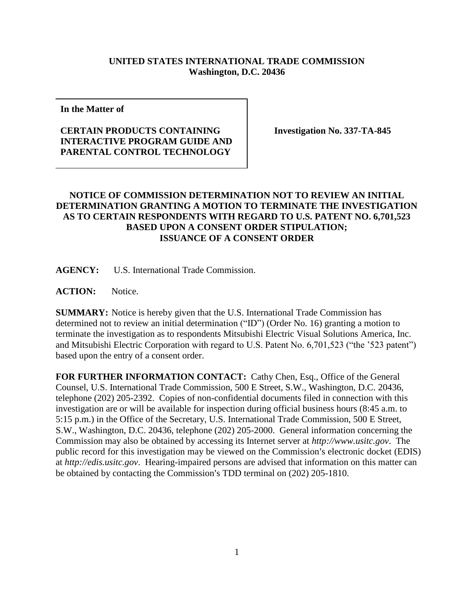## **UNITED STATES INTERNATIONAL TRADE COMMISSION Washington, D.C. 20436**

**In the Matter of**

## **CERTAIN PRODUCTS CONTAINING INTERACTIVE PROGRAM GUIDE AND PARENTAL CONTROL TECHNOLOGY**

**Investigation No. 337-TA-845**

## **NOTICE OF COMMISSION DETERMINATION NOT TO REVIEW AN INITIAL DETERMINATION GRANTING A MOTION TO TERMINATE THE INVESTIGATION AS TO CERTAIN RESPONDENTS WITH REGARD TO U.S. PATENT NO. 6,701,523 BASED UPON A CONSENT ORDER STIPULATION; ISSUANCE OF A CONSENT ORDER**

**AGENCY:** U.S. International Trade Commission.

**ACTION:** Notice.

**SUMMARY:** Notice is hereby given that the U.S. International Trade Commission has determined not to review an initial determination ("ID") (Order No. 16) granting a motion to terminate the investigation as to respondents Mitsubishi Electric Visual Solutions America, Inc. and Mitsubishi Electric Corporation with regard to U.S. Patent No. 6,701,523 ("the '523 patent") based upon the entry of a consent order.

**FOR FURTHER INFORMATION CONTACT:** Cathy Chen, Esq., Office of the General Counsel, U.S. International Trade Commission, 500 E Street, S.W., Washington, D.C. 20436, telephone (202) 205-2392. Copies of non-confidential documents filed in connection with this investigation are or will be available for inspection during official business hours (8:45 a.m. to 5:15 p.m.) in the Office of the Secretary, U.S. International Trade Commission, 500 E Street, S.W., Washington, D.C. 20436, telephone (202) 205-2000. General information concerning the Commission may also be obtained by accessing its Internet server at *http://www.usitc.gov*. The public record for this investigation may be viewed on the Commission's electronic docket (EDIS) at *http://edis.usitc.gov*. Hearing-impaired persons are advised that information on this matter can be obtained by contacting the Commission's TDD terminal on  $(202)$  205-1810.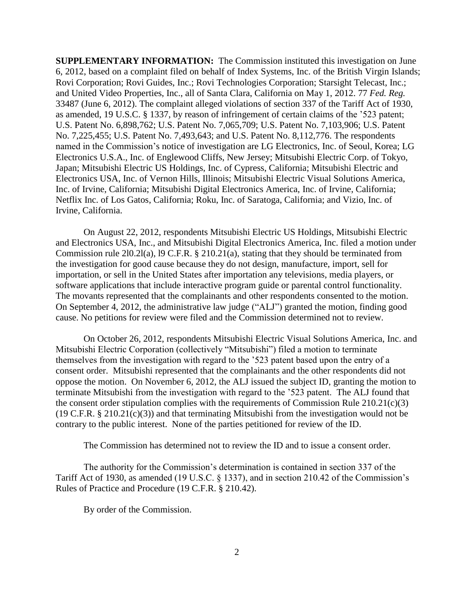**SUPPLEMENTARY INFORMATION:** The Commission instituted this investigation on June 6, 2012, based on a complaint filed on behalf of Index Systems, Inc. of the British Virgin Islands; Rovi Corporation; Rovi Guides, Inc.; Rovi Technologies Corporation; Starsight Telecast, Inc.; and United Video Properties, Inc., all of Santa Clara, California on May 1, 2012. 77 *Fed. Reg.* 33487 (June 6, 2012). The complaint alleged violations of section 337 of the Tariff Act of 1930, as amended, 19 U.S.C. § 1337, by reason of infringement of certain claims of the '523 patent; U.S. Patent No. 6,898,762; U.S. Patent No. 7,065,709; U.S. Patent No. 7,103,906; U.S. Patent No. 7,225,455; U.S. Patent No. 7,493,643; and U.S. Patent No. 8,112,776. The respondents named in the Commission's notice of investigation are LG Electronics, Inc. of Seoul, Korea; LG Electronics U.S.A., Inc. of Englewood Cliffs, New Jersey; Mitsubishi Electric Corp. of Tokyo, Japan; Mitsubishi Electric US Holdings, Inc. of Cypress, California; Mitsubishi Electric and Electronics USA, Inc. of Vernon Hills, Illinois; Mitsubishi Electric Visual Solutions America, Inc. of Irvine, California; Mitsubishi Digital Electronics America, Inc. of Irvine, California; Netflix Inc. of Los Gatos, California; Roku, Inc. of Saratoga, California; and Vizio, Inc. of Irvine, California.

On August 22, 2012, respondents Mitsubishi Electric US Holdings, Mitsubishi Electric and Electronics USA, Inc., and Mitsubishi Digital Electronics America, Inc. filed a motion under Commission rule 2l0.2l(a), l9 C.F.R. § 210.21(a), stating that they should be terminated from the investigation for good cause because they do not design, manufacture, import, sell for importation, or sell in the United States after importation any televisions, media players, or software applications that include interactive program guide or parental control functionality. The movants represented that the complainants and other respondents consented to the motion. On September 4, 2012, the administrative law judge ("ALJ") granted the motion, finding good cause. No petitions for review were filed and the Commission determined not to review.

On October 26, 2012, respondents Mitsubishi Electric Visual Solutions America, Inc. and Mitsubishi Electric Corporation (collectively "Mitsubishi") filed a motion to terminate themselves from the investigation with regard to the '523 patent based upon the entry of a consent order. Mitsubishi represented that the complainants and the other respondents did not oppose the motion. On November 6, 2012, the ALJ issued the subject ID, granting the motion to terminate Mitsubishi from the investigation with regard to the '523 patent. The ALJ found that the consent order stipulation complies with the requirements of Commission Rule  $210.21(c)(3)$ (19 C.F.R. § 210.21(c)(3)) and that terminating Mitsubishi from the investigation would not be contrary to the public interest. None of the parties petitioned for review of the ID.

The Commission has determined not to review the ID and to issue a consent order.

The authority for the Commission's determination is contained in section 337 of the Tariff Act of 1930, as amended (19 U.S.C. § 1337), and in section 210.42 of the Commission's Rules of Practice and Procedure (19 C.F.R. § 210.42).

By order of the Commission.